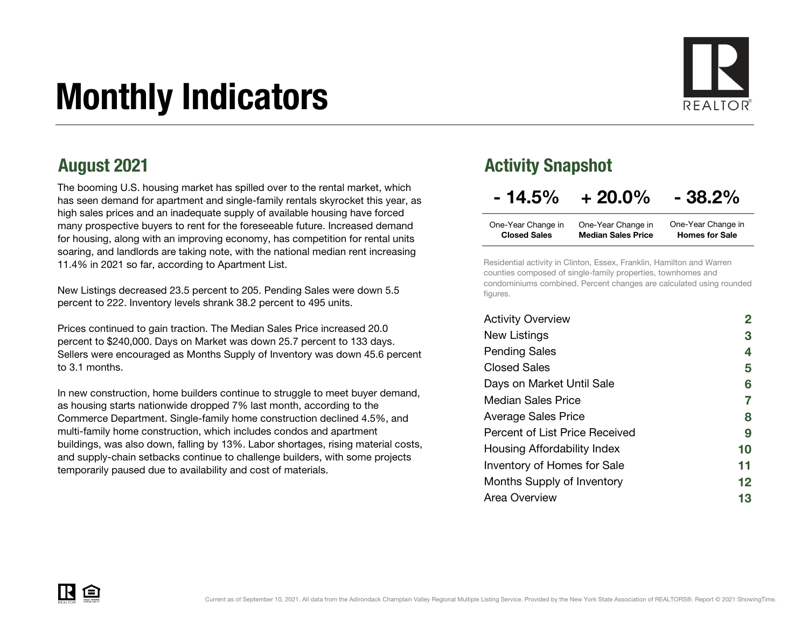# Monthly Indicators



The booming U.S. housing market has spilled over to the rental market, which has seen demand for apartment and single-family rentals skyrocket this year, as high sales prices and an inadequate supply of available housing have forced many prospective buyers to rent for the foreseeable future. Increased demand for housing, along with an improving economy, has competition for rental units soaring, and landlords are taking note, with the national median rent increasing 11.4% in 2021 so far, according to Apartment List.

New Listings decreased 23.5 percent to 205. Pending Sales were down 5.5 percent to 222. Inventory levels shrank 38.2 percent to 495 units.

Prices continued to gain traction. The Median Sales Price increased 20.0 percent to \$240,000. Days on Market was down 25.7 percent to 133 days. Sellers were encouraged as Months Supply of Inventory was down 45.6 percent to 3.1 months.

In new construction, home builders continue to struggle to meet buyer demand, as housing starts nationwide dropped 7% last month, according to the Commerce Department. Single-family home construction declined 4.5%, and multi-family home construction, which includes condos and apartment buildings, was also down, falling by 13%. Labor shortages, rising material costs, and supply-chain setbacks continue to challenge builders, with some projects temporarily paused due to availability and cost of materials.

#### August 2021 **August 2021 Activity Snapshot**

### $-14.5\% + 20.0\% - 38.2\%$

| One-Year Change in  | One-Year Change in        | One-Year Change in    |
|---------------------|---------------------------|-----------------------|
| <b>Closed Sales</b> | <b>Median Sales Price</b> | <b>Homes for Sale</b> |

Residential activity in Clinton, Essex, Franklin, Hamilton and Warren counties composed of single-family properties, townhomes and condominiums combined. Percent changes are calculated using rounded figures.

| <b>Activity Overview</b>       |    |
|--------------------------------|----|
| New Listings                   | 3  |
| <b>Pending Sales</b>           | 4  |
| Closed Sales                   | 5  |
| Days on Market Until Sale      | 6  |
| Median Sales Price             | 7  |
| <b>Average Sales Price</b>     | 8  |
| Percent of List Price Received | 9  |
| Housing Affordability Index    | 10 |
| Inventory of Homes for Sale    | 11 |
| Months Supply of Inventory     | 12 |
| Area Overview                  | 13 |

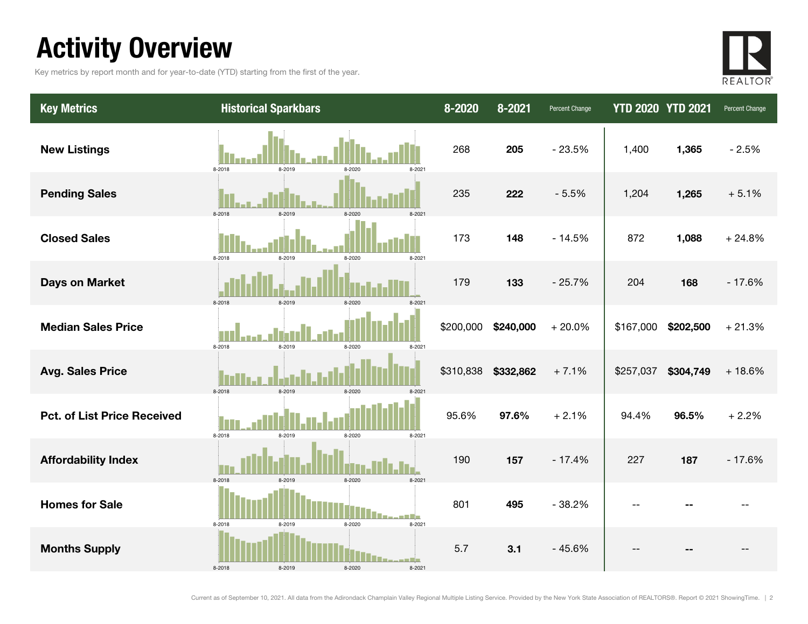### Activity Overview

Key metrics by report month and for year-to-date (YTD) starting from the first of the year.



| <b>Key Metrics</b>                 | <b>Historical Sparkbars</b>                        | 8-2020    | 8-2021    | Percent Change | <b>YTD 2020 YTD 2021</b> |           | Percent Change |
|------------------------------------|----------------------------------------------------|-----------|-----------|----------------|--------------------------|-----------|----------------|
| <b>New Listings</b>                | 8-2018<br>8-2019<br>8-2020<br>8-2021               | 268       | 205       | $-23.5%$       | 1,400                    | 1,365     | $-2.5%$        |
| <b>Pending Sales</b>               | 8-2018<br>8-2019<br>$8-2020$                       | 235       | 222       | $-5.5%$        | 1,204                    | 1,265     | $+5.1%$        |
| <b>Closed Sales</b>                | 8-2018<br>8-2020<br>8-2021<br>8-2019               | 173       | 148       | $-14.5%$       | 872                      | 1,088     | $+24.8%$       |
| <b>Days on Market</b>              | 8-2018<br>8-2019<br>8-2020<br>$8 - 202$            | 179       | 133       | $-25.7%$       | 204                      | 168       | $-17.6%$       |
| <b>Median Sales Price</b>          | 8-2019<br>8-2018<br>8-2020<br>8-2021               | \$200,000 | \$240,000 | $+20.0%$       | \$167,000                | \$202,500 | $+21.3%$       |
| <b>Avg. Sales Price</b>            | 8-2018<br>8-2019<br>8-2020<br>$8 - 202$            | \$310,838 | \$332,862 | $+7.1%$        | \$257,037                | \$304,749 | $+18.6%$       |
| <b>Pct. of List Price Received</b> | 8-2018<br>8-2019<br>8-2020<br>8-2021               | 95.6%     | 97.6%     | $+2.1%$        | 94.4%                    | 96.5%     | $+2.2%$        |
| <b>Affordability Index</b>         | 8-2018<br>8-2019<br>8-2020<br>8-2021               | 190       | 157       | $-17.4%$       | 227                      | 187       | $-17.6%$       |
| <b>Homes for Sale</b>              | 8-2018<br>8-2019<br>8-2020<br>8-2021               | 801       | 495       | $-38.2%$       | --                       |           |                |
| <b>Months Supply</b>               | a se Eliza<br>8-2018<br>8-2019<br>8-2020<br>8-2021 | 5.7       | 3.1       | $-45.6%$       |                          |           |                |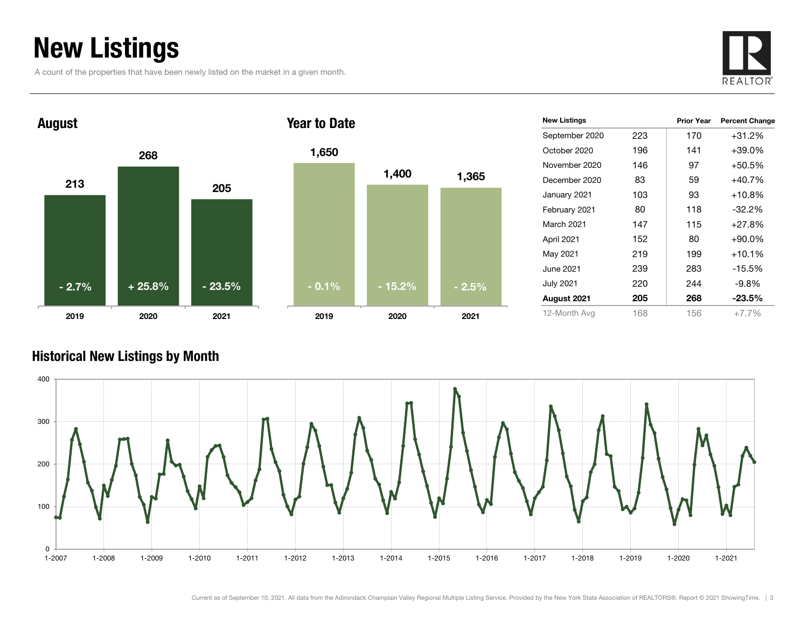### New Listings

A count of the properties that have been newly listed on the market in a given month.





| 1,650   |          |         |
|---------|----------|---------|
|         | 1,400    | 1,365   |
|         |          |         |
|         |          |         |
|         |          |         |
| $-0.1%$ | $-15.2%$ | $-2.5%$ |
| 2019    | 2020     | 2021    |

| <b>New Listings</b> |     | <b>Prior Year</b> | <b>Percent Change</b> |
|---------------------|-----|-------------------|-----------------------|
| September 2020      | 223 | 170               | $+31.2%$              |
| October 2020        | 196 | 141               | $+39.0\%$             |
| November 2020       | 146 | 97                | $+50.5%$              |
| December 2020       | 83  | 59                | $+40.7%$              |
| January 2021        | 103 | 93                | $+10.8%$              |
| February 2021       | 80  | 118               | $-32.2%$              |
| <b>March 2021</b>   | 147 | 115               | $+27.8%$              |
| April 2021          | 152 | 80                | $+90.0\%$             |
| May 2021            | 219 | 199               | $+10.1%$              |
| June 2021           | 239 | 283               | $-15.5%$              |
| <b>July 2021</b>    | 220 | 244               | $-9.8%$               |
| August 2021         | 205 | 268               | $-23.5%$              |
| 12-Month Avg        | 168 | 156               | $+7.7%$               |

#### Historical New Listings by Month

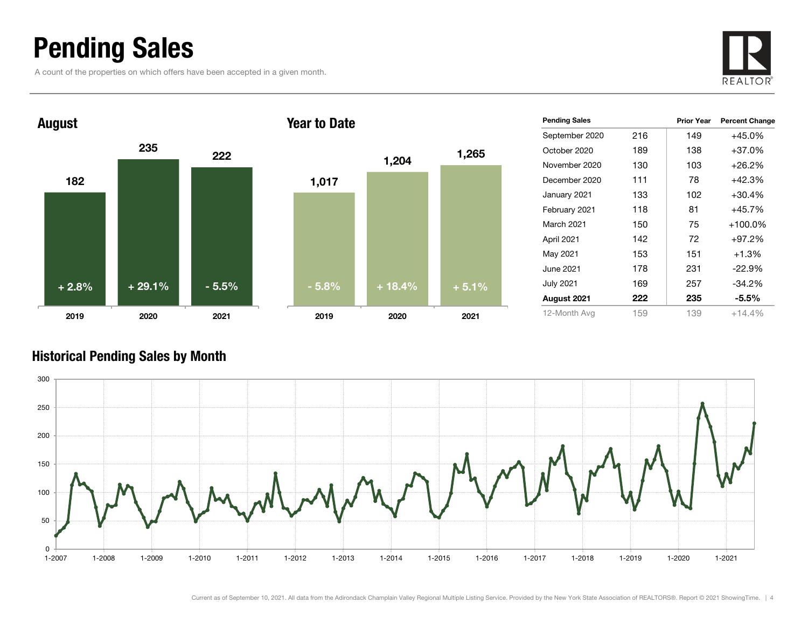### Pending Sales

A count of the properties on which offers have been accepted in a given month.





| <b>Pending Sales</b> |     | <b>Prior Year</b> | <b>Percent Change</b> |
|----------------------|-----|-------------------|-----------------------|
| September 2020       | 216 | 149               | +45.0%                |
| October 2020         | 189 | 138               | +37.0%                |
| November 2020        | 130 | 103               | $+26.2\%$             |
| December 2020        | 111 | 78                | +42.3%                |
| January 2021         | 133 | 102               | $+30.4%$              |
| February 2021        | 118 | 81                | $+45.7%$              |
| March 2021           | 150 | 75                | $+100.0\%$            |
| April 2021           | 142 | 72                | $+97.2%$              |
| May 2021             | 153 | 151               | $+1.3%$               |
| June 2021            | 178 | 231               | $-22.9%$              |
| <b>July 2021</b>     | 169 | 257               | $-34.2%$              |
| August 2021          | 222 | 235               | $-5.5\%$              |
| 12-Month Avg         | 159 | 139               | $+14.4%$              |

#### Historical Pending Sales by Month

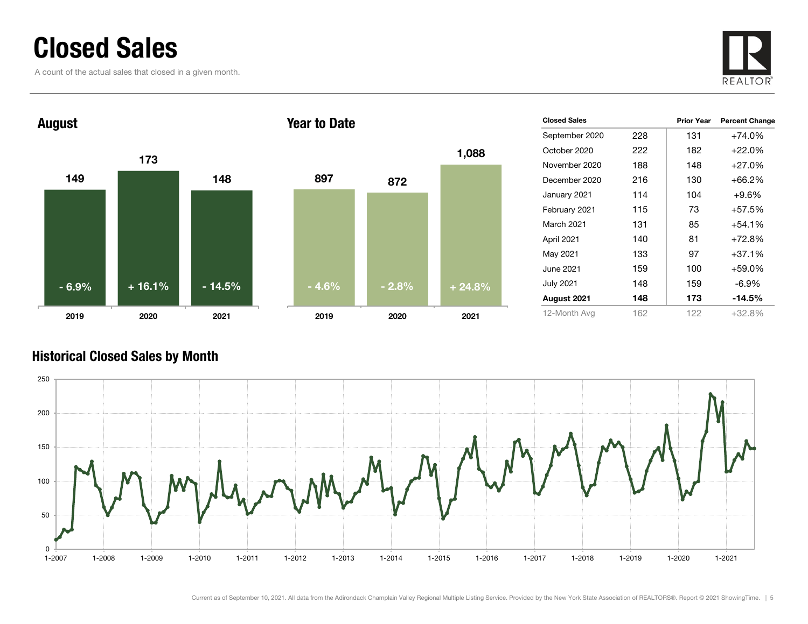### Closed Sales

A count of the actual sales that closed in a given month.





| <b>Closed Sales</b> |     | <b>Prior Year</b> | <b>Percent Change</b> |
|---------------------|-----|-------------------|-----------------------|
| September 2020      | 228 | 131               | +74.0%                |
| October 2020        | 222 | 182               | $+22.0%$              |
| November 2020       | 188 | 148               | $+27.0%$              |
| December 2020       | 216 | 130               | +66.2%                |
| January 2021        | 114 | 104               | $+9.6%$               |
| February 2021       | 115 | 73                | +57.5%                |
| March 2021          | 131 | 85                | +54.1%                |
| April 2021          | 140 | 81                | +72.8%                |
| May 2021            | 133 | 97                | +37.1%                |
| June 2021           | 159 | 100               | +59.0%                |
| July 2021           | 148 | 159               | $-6.9\%$              |
| August 2021         | 148 | 173               | -14.5%                |
| 12-Month Avg        | 162 | 122               | $+32.8\%$             |

#### Historical Closed Sales by Month

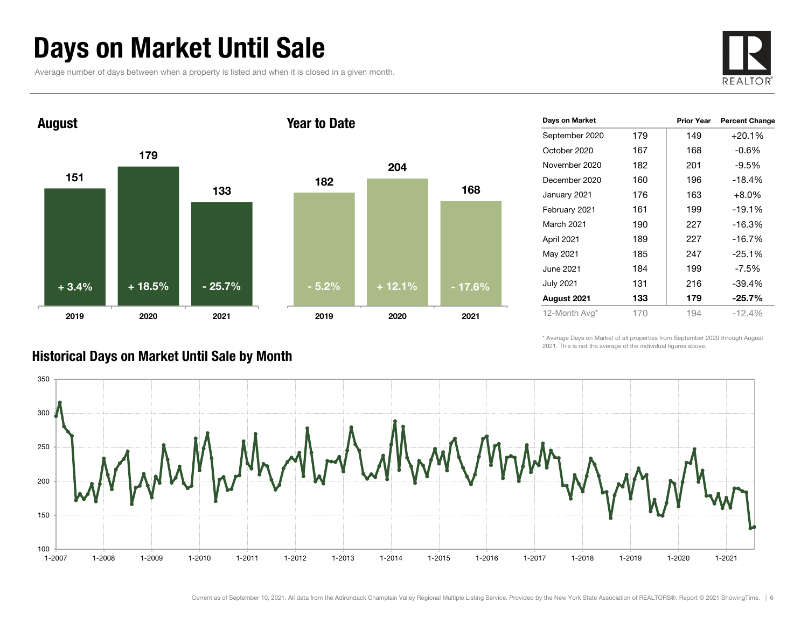### Days on Market Until Sale

Average number of days between when a property is listed and when it is closed in a given month.





| Days on Market   |     | <b>Prior Year</b> | <b>Percent Change</b> |
|------------------|-----|-------------------|-----------------------|
| September 2020   | 179 | 149               | $+20.1%$              |
| October 2020     | 167 | 168               | $-0.6\%$              |
| November 2020    | 182 | 201               | $-9.5%$               |
| December 2020    | 160 | 196               | $-18.4%$              |
| January 2021     | 176 | 163               | $+8.0%$               |
| February 2021    | 161 | 199               | $-19.1%$              |
| March 2021       | 190 | 227               | $-16.3%$              |
| April 2021       | 189 | 227               | $-16.7%$              |
| May 2021         | 185 | 247               | $-25.1%$              |
| June 2021        | 184 | 199               | $-7.5\%$              |
| <b>July 2021</b> | 131 | 216               | -39.4%                |
| August 2021      | 133 | 179               | $-25.7\%$             |
| 12-Month Avg*    | 170 | 194               | $-12.4%$              |

\* Average Days on Market of all properties from September 2020 through August 2021. This is not the average of the individual figures above.



#### Historical Days on Market Until Sale by Month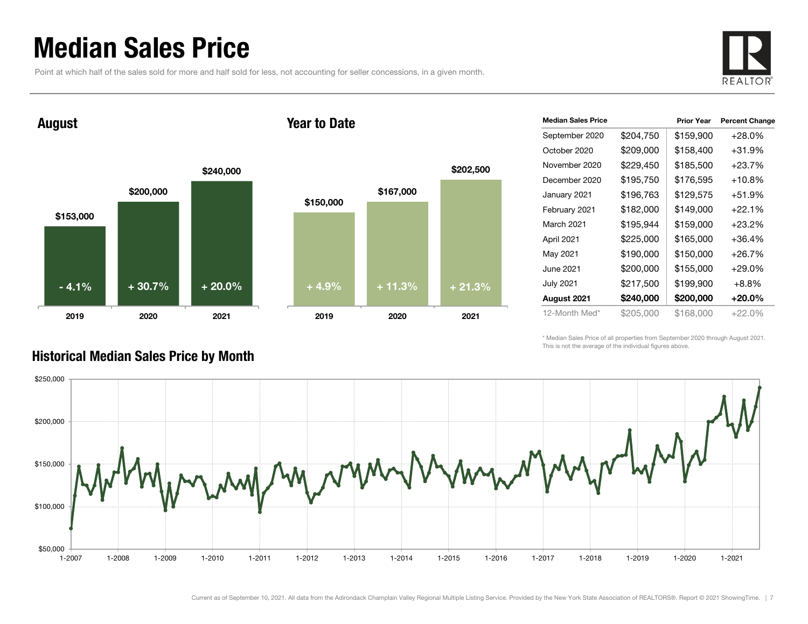### Median Sales Price

Point at which half of the sales sold for more and half sold for less, not accounting for seller concessions, in a given month.



August

#### Year to Date



| <b>Median Sales Price</b> |           | <b>Prior Year</b> | <b>Percent Change</b> |
|---------------------------|-----------|-------------------|-----------------------|
| September 2020            | \$204,750 | \$159,900         | $+28.0\%$             |
| October 2020              | \$209,000 | \$158,400         | $+31.9%$              |
| November 2020             | \$229,450 | \$185,500         | +23.7%                |
| December 2020             | \$195,750 | \$176,595         | $+10.8%$              |
| January 2021              | \$196,763 | \$129,575         | $+51.9%$              |
| February 2021             | \$182,000 | \$149,000         | +22.1%                |
| March 2021                | \$195,944 | \$159,000         | $+23.2%$              |
| April 2021                | \$225,000 | \$165,000         | +36.4%                |
| May 2021                  | \$190,000 | \$150,000         | +26.7%                |
| June 2021                 | \$200,000 | \$155,000         | $+29.0%$              |
| July 2021                 | \$217,500 | \$199,900         | $+8.8\%$              |
| August 2021               | \$240,000 | \$200,000         | +20.0%                |
| 12-Month Med*             | \$205,000 | \$168,000         | $+22.0\%$             |

\* Median Sales Price of all properties from September 2020 through August 2021. This is not the average of the individual figures above.



#### Historical Median Sales Price by Month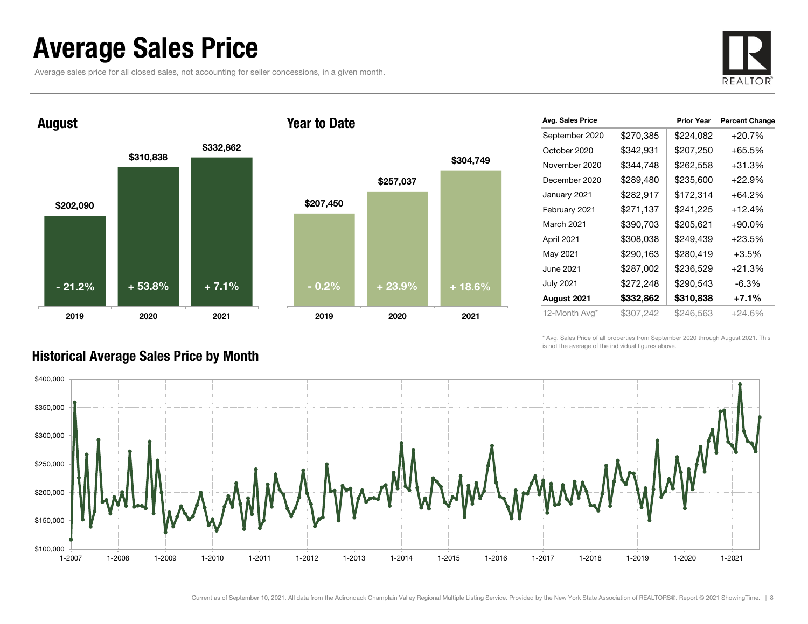### Average Sales Price

Average sales price for all closed sales, not accounting for seller concessions, in a given month.





| Avg. Sales Price |           | <b>Prior Year</b> | <b>Percent Change</b> |
|------------------|-----------|-------------------|-----------------------|
| September 2020   | \$270,385 | \$224,082         | $+20.7%$              |
| October 2020     | \$342,931 | \$207,250         | $+65.5%$              |
| November 2020    | \$344.748 | \$262,558         | +31.3%                |
| December 2020    | \$289,480 | \$235,600         | $+22.9%$              |
| January 2021     | \$282,917 | \$172,314         | $+64.2\%$             |
| February 2021    | \$271,137 | \$241,225         | $+12.4%$              |
| March 2021       | \$390,703 | \$205,621         | $+90.0\%$             |
| April 2021       | \$308,038 | \$249,439         | $+23.5%$              |
| May 2021         | \$290,163 | \$280,419         | $+3.5%$               |
| June 2021        | \$287,002 | \$236,529         | $+21.3%$              |
| July 2021        | \$272,248 | \$290,543         | $-6.3%$               |
| August 2021      | \$332,862 | \$310,838         | $+7.1%$               |
| 12-Month Avg*    | \$307,242 | \$246,563         | $+24.6%$              |

\* Avg. Sales Price of all properties from September 2020 through August 2021. This is not the average of the individual figures above.



#### Historical Average Sales Price by Month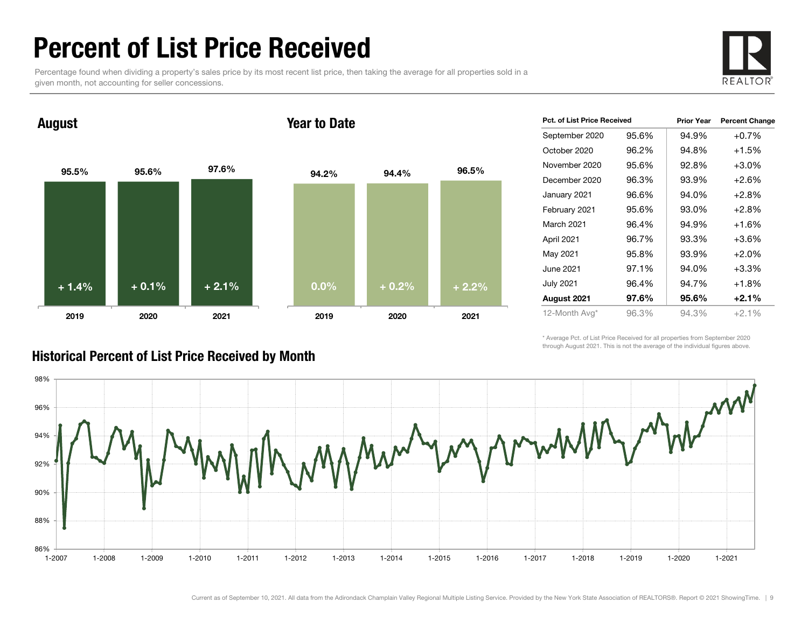### Percent of List Price Received

Percentage found when dividing a property's sales price by its most recent list price, then taking the average for all properties sold in a given month, not accounting for seller concessions.



August

#### Year to Date



| <b>Pct. of List Price Received</b> |       | <b>Prior Year</b> | <b>Percent Change</b> |
|------------------------------------|-------|-------------------|-----------------------|
| September 2020                     | 95.6% | 94.9%             | $+0.7%$               |
| October 2020                       | 96.2% | 94.8%             | +1.5%                 |
| November 2020                      | 95.6% | 92.8%             | $+3.0%$               |
| December 2020                      | 96.3% | 93.9%             | $+2.6%$               |
| January 2021                       | 96.6% | 94.0%             | $+2.8%$               |
| February 2021                      | 95.6% | 93.0%             | $+2.8%$               |
| <b>March 2021</b>                  | 96.4% | 94.9%             | $+1.6%$               |
| April 2021                         | 96.7% | 93.3%             | $+3.6%$               |
| May 2021                           | 95.8% | 93.9%             | $+2.0%$               |
| June 2021                          | 97.1% | 94.0%             | $+3.3%$               |
| <b>July 2021</b>                   | 96.4% | 94.7%             | +1.8%                 |
| August 2021                        | 97.6% | 95.6%             | $+2.1%$               |
| 12-Month Avg*                      | 96.3% | 94.3%             | $+2.1%$               |

\* Average Pct. of List Price Received for all properties from September 2020 through August 2021. This is not the average of the individual figures above.



#### Historical Percent of List Price Received by Month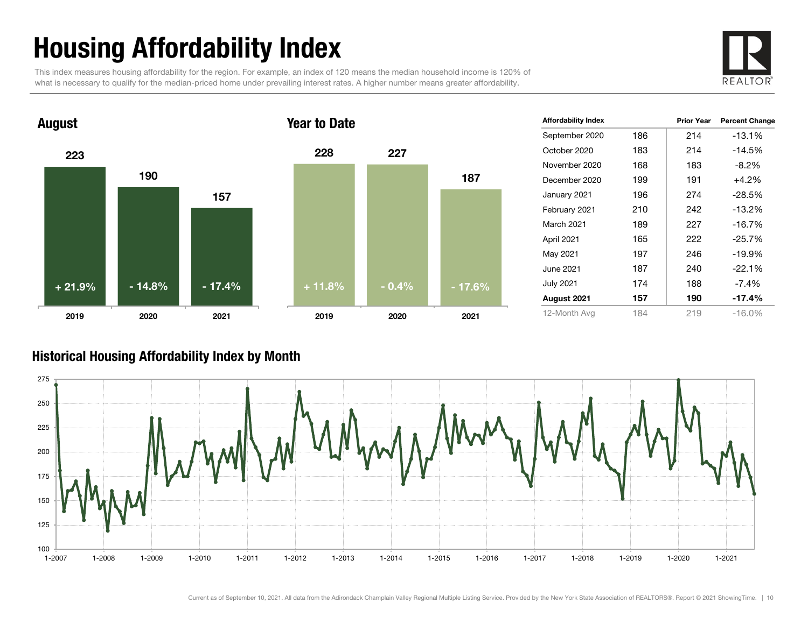## Housing Affordability Index

This index measures housing affordability for the region. For example, an index of 120 means the median household income is 120% of what is necessary to qualify for the median-priced home under prevailing interest rates. A higher number means greater affordability.





| <b>Affordability Index</b> |     | <b>Prior Year</b> | <b>Percent Change</b> |
|----------------------------|-----|-------------------|-----------------------|
| September 2020             | 186 | 214               | $-13.1%$              |
| October 2020               | 183 | 214               | $-14.5%$              |
| November 2020              | 168 | 183               | $-8.2%$               |
| December 2020              | 199 | 191               | $+4.2%$               |
| January 2021               | 196 | 274               | $-28.5%$              |
| February 2021              | 210 | 242               | $-13.2%$              |
| March 2021                 | 189 | 227               | $-16.7%$              |
| April 2021                 | 165 | 222               | $-25.7%$              |
| May 2021                   | 197 | 246               | $-19.9%$              |
| June 2021                  | 187 | 240               | $-22.1%$              |
| <b>July 2021</b>           | 174 | 188               | $-7.4\%$              |
| August 2021                | 157 | 190               | $-17.4\%$             |
| 12-Month Avg               | 184 | 219               | $-16.0%$              |

#### Historical Housing Affordability Index by Mont h

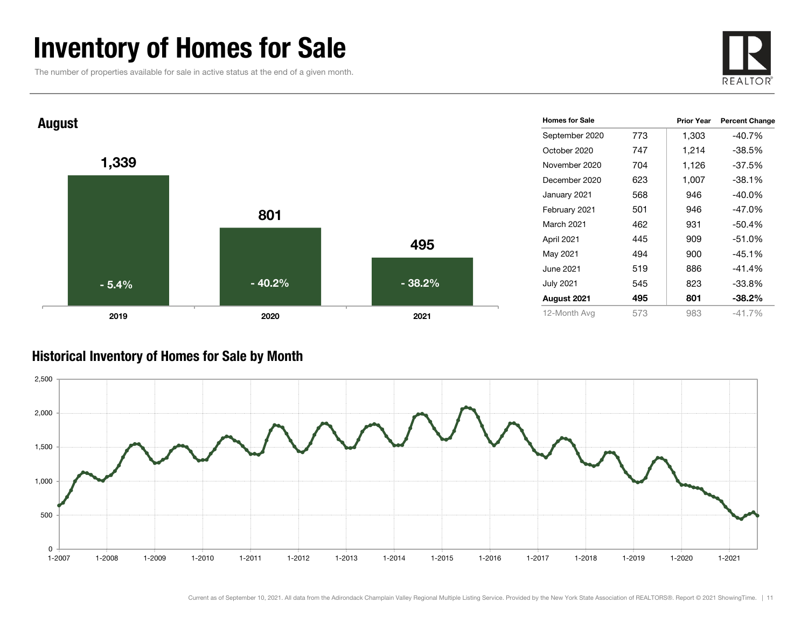### Inventory of Homes for Sale

The number of properties available for sale in active status at the end of a given month.





#### Historical Inventory of Homes for Sale by Month

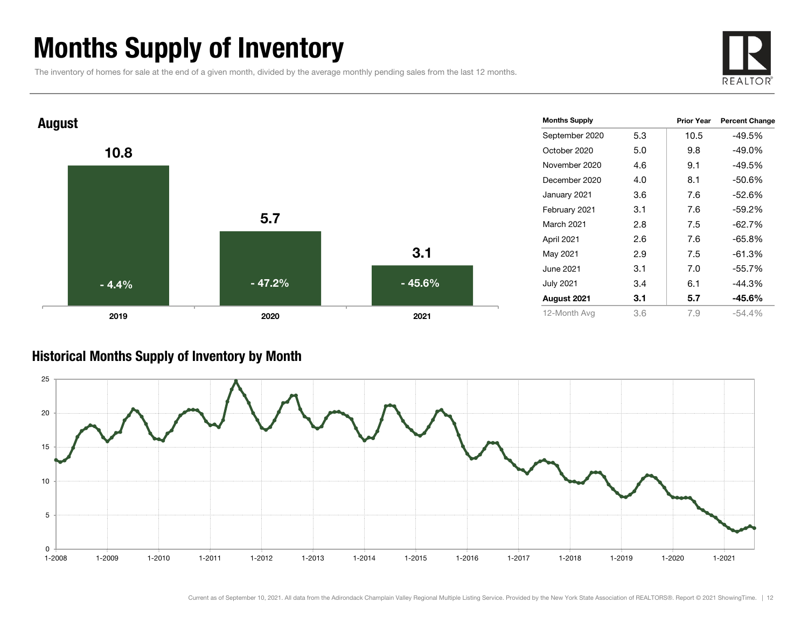### Months Supply of Inventory

The inventory of homes for sale at the end of a given month, divided by the average monthly pending sales from the last 12 months.





#### Historical Months Supply of Inventory by Month